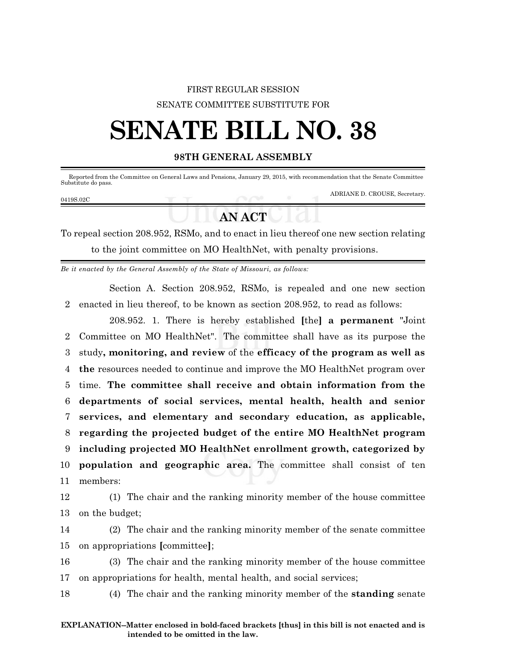## FIRST REGULAR SESSION SENATE COMMITTEE SUBSTITUTE FOR

# **SENATE BILL NO. 38**

### **98TH GENERAL ASSEMBLY**

Reported from the Committee on General Laws and Pensions, January 29, 2015, with recommendation that the Senate Committee Substitute do pass.

ADRIANE D. CROUSE, Secretary.

# **AN ACT**

To repeal section 208.952, RSMo, and to enact in lieu thereof one new section relating to the joint committee on MO HealthNet, with penalty provisions.

*Be it enacted by the General Assembly of the State of Missouri, as follows:*

Section A. Section 208.952, RSMo, is repealed and one new section 2 enacted in lieu thereof, to be known as section 208.952, to read as follows:

208.952. 1. There is hereby established **[**the**] a permanent** "Joint Committee on MO HealthNet". The committee shall have as its purpose the study**, monitoring, and review** of the **efficacy of the program as well as the** resources needed to continue and improve the MO HealthNet program over time. **The committee shall receive and obtain information from the departments of social services, mental health, health and senior services, and elementary and secondary education, as applicable, regarding the projected budget of the entire MO HealthNet program including projected MO HealthNet enrollment growth, categorized by population and geographic area.** The committee shall consist of ten 11 members:

12 (1) The chair and the ranking minority member of the house committee 13 on the budget;

14 (2) The chair and the ranking minority member of the senate committee 15 on appropriations **[**committee**]**;

16 (3) The chair and the ranking minority member of the house committee 17 on appropriations for health, mental health, and social services;

18 (4) The chair and the ranking minority member of the **standing** senate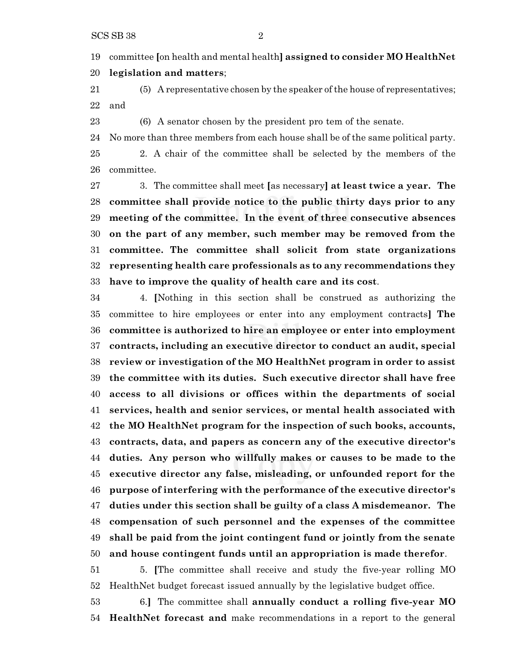committee **[**on health and mental health**] assigned to consider MO HealthNet legislation and matters**;

 (5) A representative chosen by the speaker ofthe house of representatives; and

(6) A senator chosen by the president pro tem of the senate.

 No more than three members from each house shall be of the same political party. 2. A chair of the committee shall be selected by the members of the committee.

 3. The committee shall meet **[**as necessary**] at least twice a year. The committee shall provide notice to the public thirty days prior to any meeting of the committee. In the event of three consecutive absences on the part of any member, such member may be removed from the committee. The committee shall solicit from state organizations representing health care professionals as to any recommendations they have to improve the quality of health care and its cost**.

 4. **[**Nothing in this section shall be construed as authorizing the committee to hire employees or enter into any employment contracts**] The committee is authorized to hire an employee or enter into employment contracts, including an executive director to conduct an audit, special review or investigation of the MO HealthNet program in order to assist the committee with its duties. Such executive director shall have free access to all divisions or offices within the departments of social services, health and senior services, or mental health associated with the MO HealthNet program for the inspection of such books, accounts, contracts, data, and papers as concern any of the executive director's duties. Any person who willfully makes or causes to be made to the executive director any false, misleading, or unfounded report for the purpose of interfering with the performance of the executive director's duties under this section shall be guilty of a class A misdemeanor. The compensation of such personnel and the expenses of the committee shall be paid from the joint contingent fund or jointly from the senate and house contingent funds until an appropriation is made therefor**.

 5. **[**The committee shall receive and study the five-year rolling MO HealthNet budget forecast issued annually by the legislative budget office.

 6.**]** The committee shall **annually conduct a rolling five-year MO HealthNet forecast and** make recommendations in a report to the general